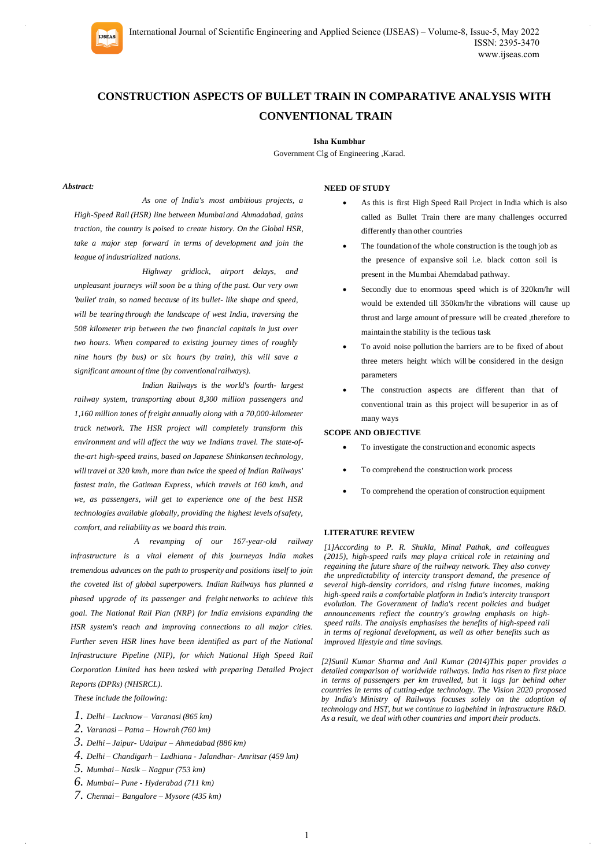

# **CONSTRUCTION ASPECTS OF BULLET TRAIN IN COMPARATIVE ANALYSIS WITH CONVENTIONAL TRAIN**

**Isha Kumbhar** 

Government Clg of Engineering ,Karad.

#### *Abstract:*

*As one of India's most ambitious projects, a High-Speed Rail (HSR) line between Mumbaiand Ahmadabad, gains traction, the country is poised to create history. On the Global HSR, take a major step forward in terms of development and join the league of industrialized nations.*

*Highway gridlock, airport delays, and unpleasant journeys will soon be a thing of the past. Our very own 'bullet' train, so named because of its bullet- like shape and speed, will be tearing through the landscape of west India, traversing the 508 kilometer trip between the two financial capitals in just over two hours. When compared to existing journey times of roughly nine hours (by bus) or six hours (by train), this will save a significant amount of time (by conventionalrailways).*

*Indian Railways is the world's fourth- largest railway system, transporting about 8,300 million passengers and 1,160 million tones of freight annually along with a 70,000-kilometer track network. The HSR project will completely transform this environment and will affect the way we Indians travel. The state-ofthe-art high-speed trains, based on Japanese Shinkansen technology, will travel at 320 km/h, more than twice the speed of Indian Railways' fastest train, the Gatiman Express, which travels at 160 km/h, and we, as passengers, will get to experience one of the best HSR technologies available globally, providing the highest levels ofsafety, comfort, and reliability as we board this train.*

 *A revamping of our 167-year-old railway infrastructure is a vital element of this journeyas India makes tremendous advances on the path to prosperity and positions itself to join the coveted list of global superpowers. Indian Railways has planned a phased upgrade of its passenger and freight networks to achieve this goal. The National Rail Plan (NRP) for India envisions expanding the HSR system's reach and improving connections to all major cities. Further seven HSR lines have been identified as part of the National Infrastructure Pipeline (NIP), for which National High Speed Rail Corporation Limited has been tasked with preparing Detailed Project Reports (DPRs) (NHSRCL).*

*These include the following:*

- *1. Delhi – Lucknow– Varanasi (865 km)*
- *2. Varanasi – Patna – Howrah (760 km)*
- *3. Delhi – Jaipur- Udaipur – Ahmedabad (886 km)*
- *4. Delhi – Chandigarh – Ludhiana - Jalandhar- Amritsar (459 km)*
- *5. Mumbai– Nasik – Nagpur (753 km)*
- *6. Mumbai– Pune - Hyderabad (711 km)*
- *7. Chennai– Bangalore – Mysore (435 km)*

# **NEED OF STUDY**

- As this is first High Speed Rail Project in India which is also called as Bullet Train there are many challenges occurred differently than other countries
- The foundation of the whole construction is the tough job as the presence of expansive soil i.e. black cotton soil is present in the Mumbai Ahemdabad pathway.
- Secondly due to enormous speed which is of 320km/hr will would be extended till 350km/hrthe vibrations will cause up thrust and large amount of pressure will be created ,therefore to maintain the stability is the tedious task
- To avoid noise pollution the barriers are to be fixed of about three meters height which will be considered in the design parameters
- The construction aspects are different than that of conventional train as this project will be superior in as of many ways

#### **SCOPE AND OBJECTIVE**

- To investigate the construction and economic aspects
- To comprehend the construction work process
- To comprehend the operation of construction equipment

# **LITERATURE REVIEW**

*[1]According to P. R. Shukla, Minal Pathak, and colleagues (2015), high-speed rails may play a critical role in retaining and regaining the future share of the railway network. They also convey the unpredictability of intercity transport demand, the presence of several high-density corridors, and rising future incomes, making high-speed rails a comfortable platform in India's intercity transport evolution. The Government of India's recent policies and budget announcements reflect the country's growing emphasis on highspeed rails. The analysis emphasises the benefits of high-speed rail in terms of regional development, as well as other benefits such as improved lifestyle and time savings.* 

*[2]Sunil Kumar Sharma and Anil Kumar (2014)This paper provides a detailed comparison of worldwide railways. India has risen to first place in terms of passengers per km travelled, but it lags far behind other countries in terms of cutting-edge technology. The Vision 2020 proposed by India's Ministry of Railways focuses solely on the adoption of technology and HST, but we continue to lag behind in infrastructure R&D. As a result, we deal with other countries and import their products.*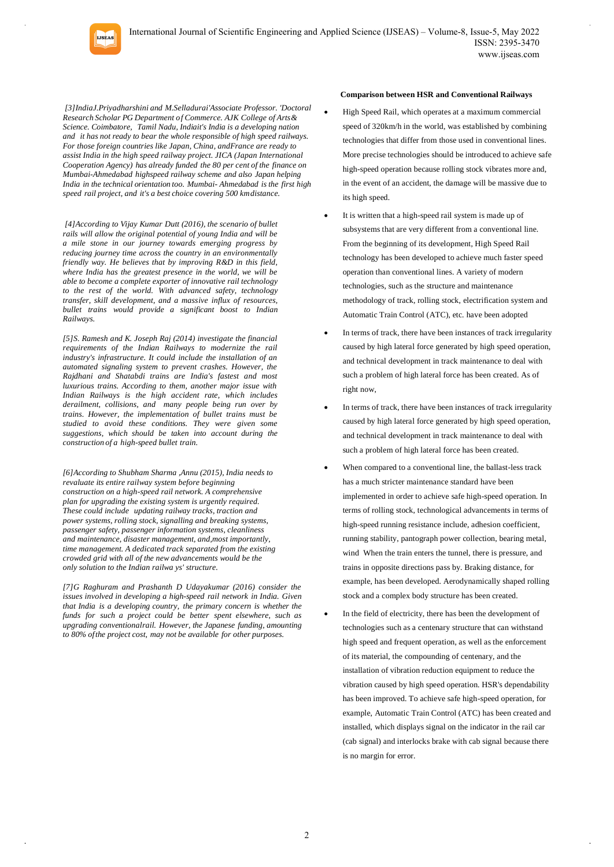*[3]IndiaJ.Priyadharshini and M.Selladurai'Associate Professor. 'Doctoral Research Scholar PG Department of Commerce. AJK College of Arts& Science. Coimbatore, Tamil Nadu, Indiait's India is a developing nation and it has not ready to bear the whole responsible of high speed railways. For those foreign countries like Japan, China, andFrance are ready to assist India in the high speed railway project. JICA (Japan International Cooperation Agency) has already funded the 80 per cent of the finance on Mumbai-Ahmedabad highspeed railway scheme and also Japan helping India in the technical orientation too. Mumbai- Ahmedabad is the first high speed rail project, and it's a best choice covering 500 kmdistance.*

**LJSEAS** 

*[4]According to Vijay Kumar Dutt (2016), the scenario of bullet rails will allow the original potential of young India and will be a mile stone in our journey towards emerging progress by reducing journey time across the country in an environmentally friendly way. He believes that by improving R&D in this field, where India has the greatest presence in the world, we will be able to become a complete exporter of innovative rail technology to the rest of the world. With advanced safety, technology transfer, skill development, and a massive influx of resources, bullet trains would provide a significant boost to Indian Railways.*

*[5]S. Ramesh and K. Joseph Raj (2014) investigate the financial requirements of the Indian Railways to modernize the rail industry's infrastructure. It could include the installation of an automated signaling system to prevent crashes. However, the Rajdhani and Shatabdi trains are India's fastest and most luxurious trains. According to them, another major issue with Indian Railways is the high accident rate, which includes derailment, collisions, and many people being run over by trains. However, the implementation of bullet trains must be studied to avoid these conditions. They were given some suggestions, which should be taken into account during the construction of a high-speed bullet train.*

*[6]According to Shubham Sharma ,Annu (2015), India needs to revaluate its entire railway system before beginning construction on a high-speed rail network. A comprehensive plan for upgrading the existing system is urgently required. These could include updating railway tracks, traction and power systems, rolling stock, signalling and breaking systems, passenger safety, passenger information systems, cleanliness and maintenance, disaster management, and,most importantly, time management. A dedicated track separated from the existing crowded grid with all of the new advancements would be the only solution to the Indian railwa ys' structure.*

*[7]G Raghuram and Prashanth D Udayakumar (2016) consider the issues involved in developing a high-speed rail network in India. Given that India is a developing country, the primary concern is whether the funds for such a project could be better spent elsewhere, such as upgrading conventionalrail. However, the Japanese funding, amounting to 80% ofthe project cost, may not be available for other purposes.*

# **Comparison between HSR and Conventional Railways**

- High Speed Rail, which operates at a maximum commercial speed of 320km/h in the world, was established by combining technologies that differ from those used in conventional lines. More precise technologies should be introduced to achieve safe high-speed operation because rolling stock vibrates more and, in the event of an accident, the damage will be massive due to its high speed.
- It is written that a high-speed rail system is made up of subsystems that are very different from a conventional line. From the beginning of its development, High Speed Rail technology has been developed to achieve much faster speed operation than conventional lines. A variety of modern technologies, such as the structure and maintenance methodology of track, rolling stock, electrification system and Automatic Train Control (ATC), etc. have been adopted
- In terms of track, there have been instances of track irregularity caused by high lateral force generated by high speed operation, and technical development in track maintenance to deal with such a problem of high lateral force has been created. As of right now,
- In terms of track, there have been instances of track irregularity caused by high lateral force generated by high speed operation, and technical development in track maintenance to deal with such a problem of high lateral force has been created.
- When compared to a conventional line, the ballast-less track has a much stricter maintenance standard have been implemented in order to achieve safe high-speed operation. In terms of rolling stock, technological advancements in terms of high-speed running resistance include, adhesion coefficient, running stability, pantograph power collection, bearing metal, wind When the train enters the tunnel, there is pressure, and trains in opposite directions pass by. Braking distance, for example, has been developed. Aerodynamically shaped rolling stock and a complex body structure has been created.
- In the field of electricity, there has been the development of technologies such as a centenary structure that can withstand high speed and frequent operation, as well as the enforcement of its material, the compounding of centenary, and the installation of vibration reduction equipment to reduce the vibration caused by high speed operation. HSR's dependability has been improved. To achieve safe high-speed operation, for example, Automatic Train Control (ATC) has been created and installed, which displays signal on the indicator in the rail car (cab signal) and interlocks brake with cab signal because there is no margin for error.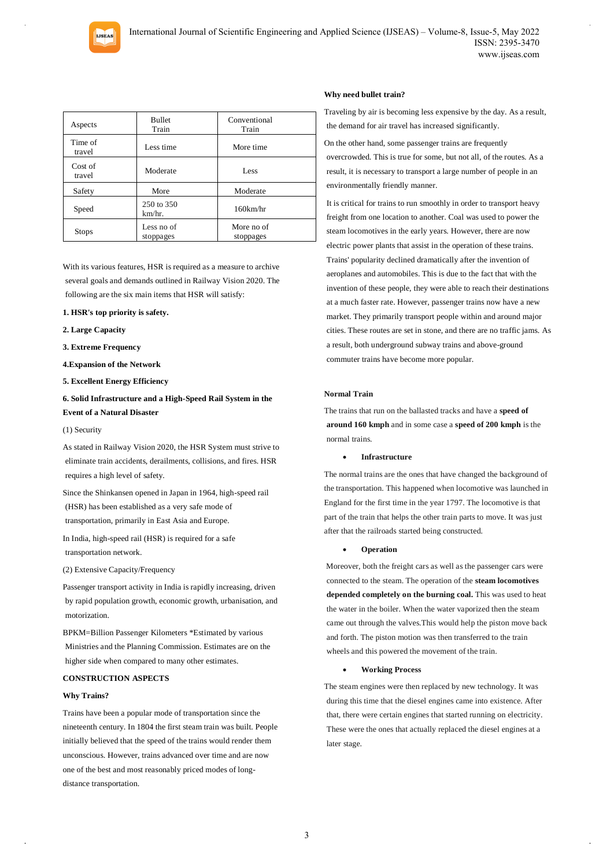

| Aspects           | <b>Bullet</b><br>Train  | Conventional<br>Train   |
|-------------------|-------------------------|-------------------------|
| Time of<br>travel | Less time               | More time               |
| Cost of<br>travel | Moderate                | Less                    |
| Safety            | More                    | Moderate                |
| Speed             | 250 to 350<br>km/hr.    | $160$ km/hr             |
| <b>Stops</b>      | Less no of<br>stoppages | More no of<br>stoppages |

With its various features, HSR is required as a measure to archive several goals and demands outlined in Railway Vision 2020. The following are the six main items that HSR will satisfy:

# **1. HSR's top priority is safety.**

- **2. Large Capacity**
- **3. Extreme Frequency**
- **4.Expansion of the Network**
- **5. Excellent Energy Efficiency**

# **6. Solid Infrastructure and a High-Speed Rail System in the Event of a Natural Disaster**

#### (1) Security

As stated in Railway Vision 2020, the HSR System must strive to eliminate train accidents, derailments, collisions, and fires. HSR requires a high level of safety.

Since the Shinkansen opened in Japan in 1964, high-speed rail (HSR) has been established as a very safe mode of transportation, primarily in East Asia and Europe.

In India, high-speed rail (HSR) is required for a safe transportation network.

(2) Extensive Capacity/Frequency

Passenger transport activity in India is rapidly increasing, driven by rapid population growth, economic growth, urbanisation, and motorization.

BPKM=Billion Passenger Kilometers \*Estimated by various Ministries and the Planning Commission. Estimates are on the higher side when compared to many other estimates.

# **CONSTRUCTION ASPECTS**

#### **Why Trains?**

Trains have been a popular mode of transportation since the nineteenth century. In 1804 the first steam train was built. People initially believed that the speed of the trains would render them unconscious. However, trains advanced over time and are now one of the best and most reasonably priced modes of longdistance transportation.

#### **Why need bullet train?**

Traveling by air is becoming less expensive by the day. As a result, the demand for air travel has increased significantly.

On the other hand, some passenger trains are frequently overcrowded. This is true for some, but not all, of the routes. As a result, it is necessary to transport a large number of people in an environmentally friendly manner.

It is critical for trains to run smoothly in order to transport heavy freight from one location to another. Coal was used to power the steam locomotives in the early years. However, there are now electric power plants that assist in the operation of these trains. Trains' popularity declined dramatically after the invention of aeroplanes and automobiles. This is due to the fact that with the invention of these people, they were able to reach their destinations at a much faster rate. However, passenger trains now have a new market. They primarily transport people within and around major cities. These routes are set in stone, and there are no traffic jams. As a result, both underground subway trains and above-ground commuter trains have become more popular.

# **Normal Train**

The trains that run on the ballasted tracks and have a **speed of around 160 kmph** and in some case a **speed of 200 kmph** is the normal trains.

#### **Infrastructure**

The normal trains are the ones that have changed the background of the transportation. This happened when locomotive was launched in England for the first time in the year 1797. The locomotive is that part of the train that helps the other train parts to move. It was just after that the railroads started being constructed.

## **Operation**

Moreover, both the freight cars as well as the passenger cars were connected to the steam. The operation of the **steam locomotives depended completely on the burning coal.** This was used to heat the water in the boiler. When the water vaporized then the steam came out through the valves.This would help the piston move back and forth. The piston motion was then transferred to the train wheels and this powered the movement of the train.

#### **Working Process**

The steam engines were then replaced by new technology. It was during this time that the diesel engines came into existence. After that, there were certain engines that started running on electricity. These were the ones that actually replaced the diesel engines at a later stage.